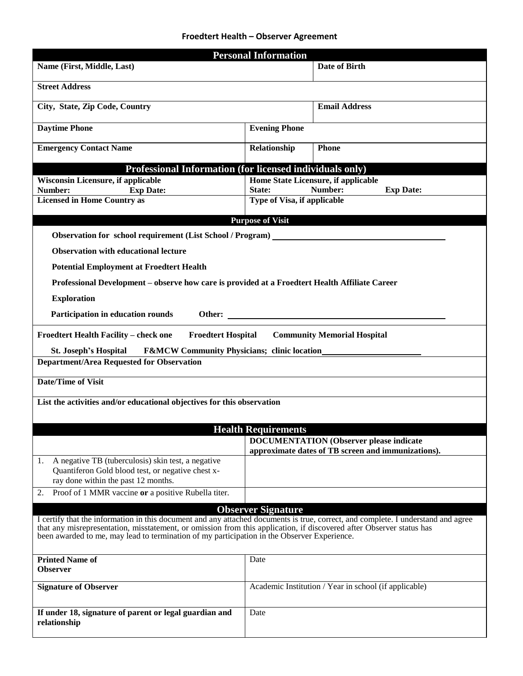## **Froedtert Health – Observer Agreement**

| <b>Personal Information</b>                                                                                                                                                                                                                                                                                                                              |                             |                                                       |  |  |  |
|----------------------------------------------------------------------------------------------------------------------------------------------------------------------------------------------------------------------------------------------------------------------------------------------------------------------------------------------------------|-----------------------------|-------------------------------------------------------|--|--|--|
| Name (First, Middle, Last)                                                                                                                                                                                                                                                                                                                               |                             | <b>Date of Birth</b>                                  |  |  |  |
| <b>Street Address</b>                                                                                                                                                                                                                                                                                                                                    |                             |                                                       |  |  |  |
| City, State, Zip Code, Country                                                                                                                                                                                                                                                                                                                           |                             | <b>Email Address</b>                                  |  |  |  |
| <b>Daytime Phone</b>                                                                                                                                                                                                                                                                                                                                     | <b>Evening Phone</b>        |                                                       |  |  |  |
| <b>Emergency Contact Name</b>                                                                                                                                                                                                                                                                                                                            | Relationship                | <b>Phone</b>                                          |  |  |  |
| Professional Information (for licensed individuals only)                                                                                                                                                                                                                                                                                                 |                             |                                                       |  |  |  |
| <b>Wisconsin Licensure, if applicable</b>                                                                                                                                                                                                                                                                                                                |                             | Home State Licensure, if applicable                   |  |  |  |
| <b>Exp Date:</b><br>Number:                                                                                                                                                                                                                                                                                                                              | State:                      | Number:<br><b>Exp Date:</b>                           |  |  |  |
| <b>Licensed in Home Country as</b>                                                                                                                                                                                                                                                                                                                       | Type of Visa, if applicable |                                                       |  |  |  |
|                                                                                                                                                                                                                                                                                                                                                          | <b>Purpose of Visit</b>     |                                                       |  |  |  |
| Observation for school requirement (List School / Program) ________                                                                                                                                                                                                                                                                                      |                             |                                                       |  |  |  |
|                                                                                                                                                                                                                                                                                                                                                          |                             |                                                       |  |  |  |
| <b>Observation with educational lecture</b>                                                                                                                                                                                                                                                                                                              |                             |                                                       |  |  |  |
| <b>Potential Employment at Froedtert Health</b>                                                                                                                                                                                                                                                                                                          |                             |                                                       |  |  |  |
| Professional Development - observe how care is provided at a Froedtert Health Affiliate Career                                                                                                                                                                                                                                                           |                             |                                                       |  |  |  |
| <b>Exploration</b>                                                                                                                                                                                                                                                                                                                                       |                             |                                                       |  |  |  |
| Participation in education rounds                                                                                                                                                                                                                                                                                                                        |                             |                                                       |  |  |  |
| <b>Froedtert Health Facility - check one</b><br><b>Froedtert Hospital</b>                                                                                                                                                                                                                                                                                |                             | <b>Community Memorial Hospital</b>                    |  |  |  |
| <b>St. Joseph's Hospital</b>                                                                                                                                                                                                                                                                                                                             |                             |                                                       |  |  |  |
| <b>Department/Area Requested for Observation</b>                                                                                                                                                                                                                                                                                                         |                             |                                                       |  |  |  |
| <b>Date/Time of Visit</b>                                                                                                                                                                                                                                                                                                                                |                             |                                                       |  |  |  |
| List the activities and/or educational objectives for this observation                                                                                                                                                                                                                                                                                   |                             |                                                       |  |  |  |
|                                                                                                                                                                                                                                                                                                                                                          |                             |                                                       |  |  |  |
| <b>Health Requirements</b><br><b>DOCUMENTATION (Observer please indicate</b>                                                                                                                                                                                                                                                                             |                             |                                                       |  |  |  |
|                                                                                                                                                                                                                                                                                                                                                          |                             | approximate dates of TB screen and immunizations).    |  |  |  |
| A negative TB (tuberculosis) skin test, a negative<br>1.<br>Quantiferon Gold blood test, or negative chest x-<br>ray done within the past 12 months.                                                                                                                                                                                                     |                             |                                                       |  |  |  |
| Proof of 1 MMR vaccine or a positive Rubella titer.<br>2.                                                                                                                                                                                                                                                                                                |                             |                                                       |  |  |  |
|                                                                                                                                                                                                                                                                                                                                                          | <b>Observer Signature</b>   |                                                       |  |  |  |
| I certify that the information in this document and any attached documents is true, correct, and complete. I understand and agree<br>that any misrepresentation, misstatement, or omission from this application, if discovered after Observer status has<br>been awarded to me, may lead to termination of my participation in the Observer Experience. |                             |                                                       |  |  |  |
| <b>Printed Name of</b><br><b>Observer</b>                                                                                                                                                                                                                                                                                                                | Date                        |                                                       |  |  |  |
| <b>Signature of Observer</b>                                                                                                                                                                                                                                                                                                                             |                             | Academic Institution / Year in school (if applicable) |  |  |  |
| If under 18, signature of parent or legal guardian and<br>relationship                                                                                                                                                                                                                                                                                   | Date                        |                                                       |  |  |  |